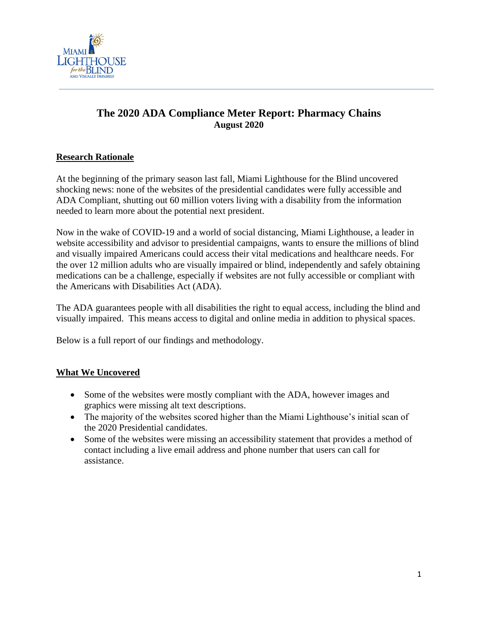

# **The 2020 ADA Compliance Meter Report: Pharmacy Chains August 2020**

# **Research Rationale**

At the beginning of the primary season last fall, Miami Lighthouse for the Blind uncovered shocking news: none of the websites of the presidential candidates were fully accessible and ADA Compliant, shutting out 60 million voters living with a disability from the information needed to learn more about the potential next president.

Now in the wake of COVID-19 and a world of social distancing, Miami Lighthouse, a leader in website accessibility and advisor to presidential campaigns, wants to ensure the millions of blind and visually impaired Americans could access their vital medications and healthcare needs. For the over 12 million adults who are visually impaired or blind, independently and safely obtaining medications can be a challenge, especially if websites are not fully accessible or compliant with the Americans with Disabilities Act (ADA).

The ADA guarantees people with all disabilities the right to equal access, including the blind and visually impaired. This means access to digital and online media in addition to physical spaces.

Below is a full report of our findings and methodology.

## **What We Uncovered**

- Some of the websites were mostly compliant with the ADA, however images and graphics were missing alt text descriptions.
- The majority of the websites scored higher than the Miami Lighthouse's initial scan of the 2020 Presidential candidates.
- Some of the websites were missing an accessibility statement that provides a method of contact including a live email address and phone number that users can call for assistance.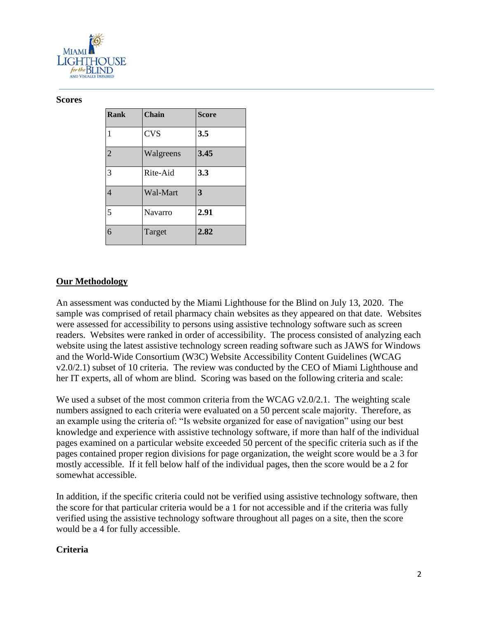

#### **Scores**

| <b>Rank</b>    | <b>Chain</b> | <b>Score</b> |
|----------------|--------------|--------------|
| 1              | <b>CVS</b>   | 3.5          |
| $\overline{2}$ | Walgreens    | 3.45         |
| 3              | Rite-Aid     | 3.3          |
| $\overline{4}$ | Wal-Mart     | 3            |
| 5              | Navarro      | 2.91         |
| 6              | Target       | 2.82         |

## **Our Methodology**

An assessment was conducted by the Miami Lighthouse for the Blind on July 13, 2020. The sample was comprised of retail pharmacy chain websites as they appeared on that date. Websites were assessed for accessibility to persons using assistive technology software such as screen readers. Websites were ranked in order of accessibility. The process consisted of analyzing each website using the latest assistive technology screen reading software such as JAWS for Windows and the World-Wide Consortium (W3C) Website Accessibility Content Guidelines (WCAG v2.0/2.1) subset of 10 criteria. The review was conducted by the CEO of Miami Lighthouse and her IT experts, all of whom are blind. Scoring was based on the following criteria and scale:

We used a subset of the most common criteria from the WCAG v2.0/2.1. The weighting scale numbers assigned to each criteria were evaluated on a 50 percent scale majority. Therefore, as an example using the criteria of: "Is website organized for ease of navigation" using our best knowledge and experience with assistive technology software, if more than half of the individual pages examined on a particular website exceeded 50 percent of the specific criteria such as if the pages contained proper region divisions for page organization, the weight score would be a 3 for mostly accessible. If it fell below half of the individual pages, then the score would be a 2 for somewhat accessible.

In addition, if the specific criteria could not be verified using assistive technology software, then the score for that particular criteria would be a 1 for not accessible and if the criteria was fully verified using the assistive technology software throughout all pages on a site, then the score would be a 4 for fully accessible.

### **Criteria**